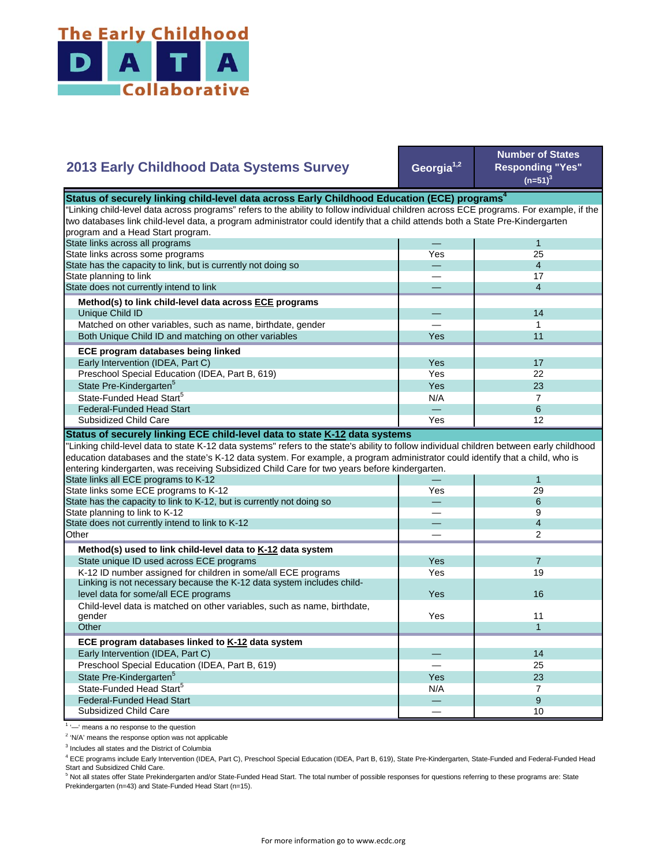

| 2013 Early Childhood Data Systems Survey                                                                                                                                                                                                                                                                                                                                     | Georgia <sup>1,2</sup> | <b>Number of States</b><br><b>Responding "Yes"</b><br>$(n=51)^3$ |
|------------------------------------------------------------------------------------------------------------------------------------------------------------------------------------------------------------------------------------------------------------------------------------------------------------------------------------------------------------------------------|------------------------|------------------------------------------------------------------|
| Status of securely linking child-level data across Early Childhood Education (ECE) programs <sup>4</sup>                                                                                                                                                                                                                                                                     |                        |                                                                  |
| "Linking child-level data across programs" refers to the ability to follow individual children across ECE programs. For example, if the                                                                                                                                                                                                                                      |                        |                                                                  |
| two databases link child-level data, a program administrator could identify that a child attends both a State Pre-Kindergarten                                                                                                                                                                                                                                               |                        |                                                                  |
| program and a Head Start program.                                                                                                                                                                                                                                                                                                                                            |                        |                                                                  |
| State links across all programs                                                                                                                                                                                                                                                                                                                                              |                        | $\mathbf{1}$                                                     |
| State links across some programs                                                                                                                                                                                                                                                                                                                                             | Yes                    | 25                                                               |
| State has the capacity to link, but is currently not doing so                                                                                                                                                                                                                                                                                                                |                        | $\overline{4}$                                                   |
| State planning to link                                                                                                                                                                                                                                                                                                                                                       |                        | 17                                                               |
| State does not currently intend to link                                                                                                                                                                                                                                                                                                                                      |                        | $\overline{4}$                                                   |
| Method(s) to link child-level data across ECE programs                                                                                                                                                                                                                                                                                                                       |                        |                                                                  |
| Unique Child ID                                                                                                                                                                                                                                                                                                                                                              |                        | 14                                                               |
| Matched on other variables, such as name, birthdate, gender                                                                                                                                                                                                                                                                                                                  |                        | 1                                                                |
| Both Unique Child ID and matching on other variables                                                                                                                                                                                                                                                                                                                         | Yes                    | 11                                                               |
|                                                                                                                                                                                                                                                                                                                                                                              |                        |                                                                  |
| ECE program databases being linked                                                                                                                                                                                                                                                                                                                                           |                        |                                                                  |
| Early Intervention (IDEA, Part C)                                                                                                                                                                                                                                                                                                                                            | Yes                    | 17                                                               |
| Preschool Special Education (IDEA, Part B, 619)                                                                                                                                                                                                                                                                                                                              | Yes                    | 22                                                               |
| State Pre-Kindergarten <sup>5</sup>                                                                                                                                                                                                                                                                                                                                          | Yes                    | 23                                                               |
| State-Funded Head Start <sup>5</sup>                                                                                                                                                                                                                                                                                                                                         | N/A                    | $\overline{7}$                                                   |
| <b>Federal-Funded Head Start</b>                                                                                                                                                                                                                                                                                                                                             |                        | 6                                                                |
| Subsidized Child Care                                                                                                                                                                                                                                                                                                                                                        | Yes                    | 12                                                               |
| "Linking child-level data to state K-12 data systems" refers to the state's ability to follow individual children between early childhood<br>education databases and the state's K-12 data system. For example, a program administrator could identify that a child, who is<br>entering kindergarten, was receiving Subsidized Child Care for two years before kindergarten. |                        |                                                                  |
| State links all ECE programs to K-12                                                                                                                                                                                                                                                                                                                                         |                        | 1                                                                |
| State links some ECE programs to K-12                                                                                                                                                                                                                                                                                                                                        | Yes                    | 29                                                               |
| State has the capacity to link to K-12, but is currently not doing so                                                                                                                                                                                                                                                                                                        |                        | 6                                                                |
| State planning to link to K-12                                                                                                                                                                                                                                                                                                                                               |                        | 9                                                                |
| State does not currently intend to link to K-12                                                                                                                                                                                                                                                                                                                              |                        | $\overline{4}$                                                   |
| Other                                                                                                                                                                                                                                                                                                                                                                        |                        | 2                                                                |
| Method(s) used to link child-level data to K-12 data system                                                                                                                                                                                                                                                                                                                  |                        |                                                                  |
| State unique ID used across ECE programs                                                                                                                                                                                                                                                                                                                                     | Yes                    | $\overline{7}$                                                   |
| K-12 ID number assigned for children in some/all ECE programs                                                                                                                                                                                                                                                                                                                | Yes                    | 19                                                               |
| Linking is not necessary because the K-12 data system includes child-                                                                                                                                                                                                                                                                                                        |                        |                                                                  |
| level data for some/all ECE programs                                                                                                                                                                                                                                                                                                                                         | Yes                    | 16                                                               |
| Child-level data is matched on other variables, such as name, birthdate,                                                                                                                                                                                                                                                                                                     |                        |                                                                  |
| gender                                                                                                                                                                                                                                                                                                                                                                       | Yes                    | 11                                                               |
| Other                                                                                                                                                                                                                                                                                                                                                                        |                        | $\mathbf{1}$                                                     |
|                                                                                                                                                                                                                                                                                                                                                                              |                        |                                                                  |
| ECE program databases linked to K-12 data system                                                                                                                                                                                                                                                                                                                             |                        |                                                                  |
| Early Intervention (IDEA, Part C)                                                                                                                                                                                                                                                                                                                                            |                        | 14                                                               |
| Preschool Special Education (IDEA, Part B, 619)                                                                                                                                                                                                                                                                                                                              |                        | 25                                                               |
| State Pre-Kindergarten <sup>5</sup>                                                                                                                                                                                                                                                                                                                                          | Yes                    | 23                                                               |
| State-Funded Head Start <sup>5</sup>                                                                                                                                                                                                                                                                                                                                         | N/A                    | $\overline{7}$                                                   |
| <b>Federal-Funded Head Start</b>                                                                                                                                                                                                                                                                                                                                             |                        | 9                                                                |
| Subsidized Child Care                                                                                                                                                                                                                                                                                                                                                        |                        | 10                                                               |

<sup>1</sup> '-' means a no response to the question

<sup>2</sup> 'N/A' means the response option was not applicable

<sup>3</sup> Includes all states and the District of Columbia

<sup>4</sup> ECE programs include Early Intervention (IDEA, Part C), Preschool Special Education (IDEA, Part B, 619), State Pre-Kindergarten, State-Funded and Federal-Funded Head

Start and Subsidized Child Care.<br><sup>5</sup> Not all states offer State Prekindergarten and/or State-Funded Head Start. The total number of possible responses for questions referring to these programs are: State Prekindergarten (n=43) and State-Funded Head Start (n=15).